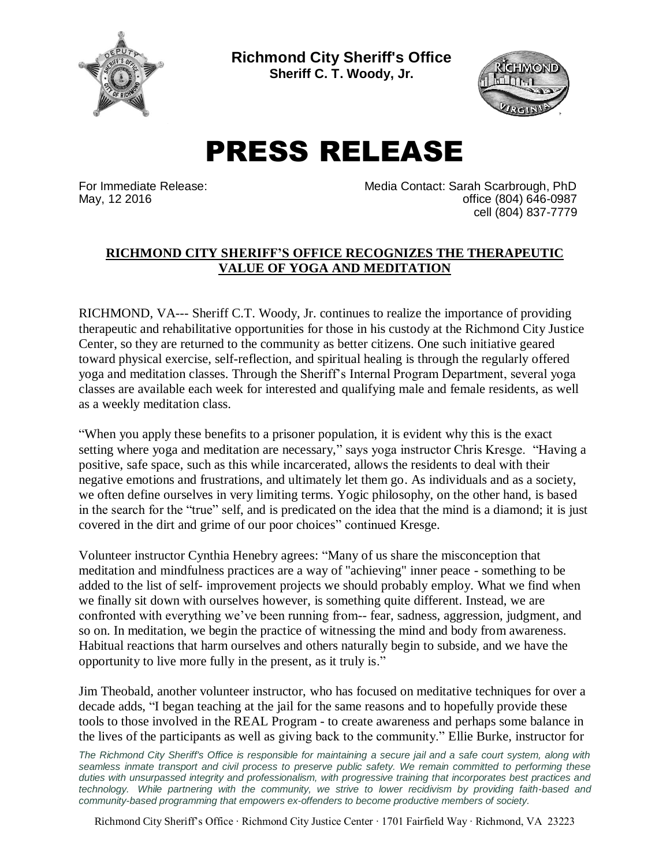

**Richmond City Sheriff's Office Sheriff C. T. Woody, Jr.**



## PRESS RELEASE

For Immediate Release: Media Contact: Sarah Scarbrough, PhD May, 12 2016 **office (804)** 646-0987 cell (804) 837-7779

## **RICHMOND CITY SHERIFF'S OFFICE RECOGNIZES THE THERAPEUTIC VALUE OF YOGA AND MEDITATION**

RICHMOND, VA--- Sheriff C.T. Woody, Jr. continues to realize the importance of providing therapeutic and rehabilitative opportunities for those in his custody at the Richmond City Justice Center, so they are returned to the community as better citizens. One such initiative geared toward physical exercise, self-reflection, and spiritual healing is through the regularly offered yoga and meditation classes. Through the Sheriff's Internal Program Department, several yoga classes are available each week for interested and qualifying male and female residents, as well as a weekly meditation class.

"When you apply these benefits to a prisoner population, it is evident why this is the exact setting where yoga and meditation are necessary," says yoga instructor Chris Kresge. "Having a positive, safe space, such as this while incarcerated, allows the residents to deal with their negative emotions and frustrations, and ultimately let them go. As individuals and as a society, we often define ourselves in very limiting terms. Yogic philosophy, on the other hand, is based in the search for the "true" self, and is predicated on the idea that the mind is a diamond; it is just covered in the dirt and grime of our poor choices" continued Kresge.

Volunteer instructor Cynthia Henebry agrees: "Many of us share the misconception that meditation and mindfulness practices are a way of "achieving" inner peace - something to be added to the list of self- improvement projects we should probably employ. What we find when we finally sit down with ourselves however, is something quite different. Instead, we are confronted with everything we've been running from-- fear, sadness, aggression, judgment, and so on. In meditation, we begin the practice of witnessing the mind and body from awareness. Habitual reactions that harm ourselves and others naturally begin to subside, and we have the opportunity to live more fully in the present, as it truly is."

Jim Theobald, another volunteer instructor, who has focused on meditative techniques for over a decade adds, "I began teaching at the jail for the same reasons and to hopefully provide these tools to those involved in the REAL Program - to create awareness and perhaps some balance in the lives of the participants as well as giving back to the community." Ellie Burke, instructor for

*The Richmond City Sheriff's Office is responsible for maintaining a secure jail and a safe court system, along with seamless inmate transport and civil process to preserve public safety. We remain committed to performing these duties with unsurpassed integrity and professionalism, with progressive training that incorporates best practices and technology. While partnering with the community, we strive to lower recidivism by providing faith-based and community-based programming that empowers ex-offenders to become productive members of society.*